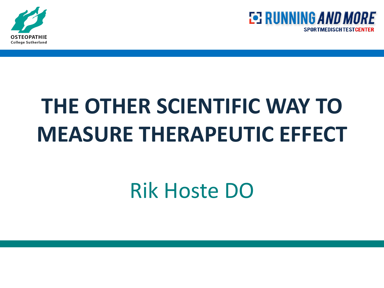



# **THE OTHER SCIENTIFIC WAY TO MEASURE THERAPEUTIC EFFECT**

## Rik Hoste DO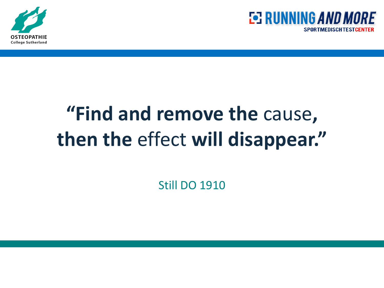



## **"Find and remove the** cause**, then the** effect **will disappear."**

Still DO 1910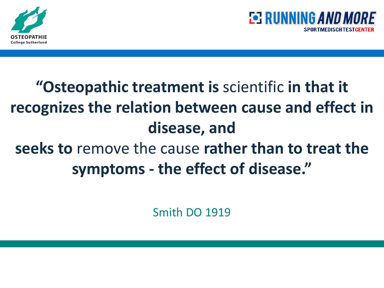



## **"Osteopathic treatment is** scientific **in that it recognizes the relation between cause and effect in disease, and seeks to** remove the cause **rather than to treat the symptoms - the effect of disease."**

Smith DO 1919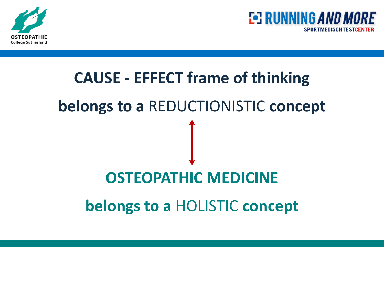



# **CAUSE - EFFECT frame of thinking belongs to a** REDUCTIONISTIC **concept OSTEOPATHIC MEDICINE belongs to a** HOLISTIC **concept**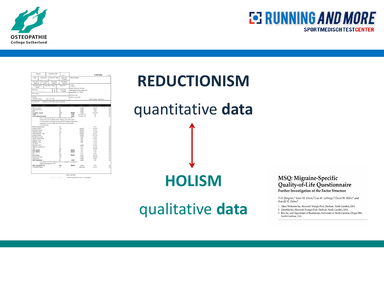



| Facing<br>Data Colleged<br>08/02/10                 | Miaro Sourie                  | Total Union Volume                                                | <b>Report States</b>                                                               |                      |                 |                           |                |
|-----------------------------------------------------|-------------------------------|-------------------------------------------------------------------|------------------------------------------------------------------------------------|----------------------|-----------------|---------------------------|----------------|
|                                                     |                               |                                                                   | S / Final                                                                          | Clinical Information |                 |                           |                |
|                                                     | Time Colleged<br>09:56        | Dete Extend<br>0802/10                                            | Date Reported<br>08/03/10                                                          | Accessit             |                 |                           |                |
| Putigat (D Namber)<br>Putient Phone Number<br>80543 |                               |                                                                   | Published SSSS                                                                     |                      |                 |                           |                |
| Patient Nome<br>5 <sub>ex</sub><br>M                |                               | Data of Birth<br>12/10/86                                         | Direct Laboratory Services<br>300 Mariners Plaza Suite 321<br>Mandeville, LA 70448 |                      |                 |                           |                |
| <b>Petited Address</b>                              |                               |                                                                   |                                                                                    | 985-624-9186         |                 |                           |                |
| Comment<br>PATIENT AGE-<br>024 / -04 / -08          |                               |                                                                   |                                                                                    | UPIN: 1336212729     |                 | <b>PHY NAME: DAVIS, A</b> |                |
| Toris Roquested                                     |                               | CMP14+LP+TP+TSH+5AC+CBC/D/Pk                                      |                                                                                    |                      |                 |                           |                |
|                                                     | TESTS                         |                                                                   | <b>SESULT</b>                                                                      | 11.42                | <b>CINTIS</b>   | REFERENCE INTERVAL        | LAB            |
| Ghazose, Senam                                      |                               |                                                                   | 300                                                                                |                      | me/dl.          | 65.99                     | 01             |
| Une Acid. Serum                                     |                               |                                                                   | 60                                                                                 |                      | meldi.          | $24-82$                   | $\alpha$       |
| <b>BIN</b>                                          |                               |                                                                   | 18                                                                                 |                      | ma/di.          | $5 - 26$                  | $\overline{0}$ |
| Creatisine, Serum                                   |                               |                                                                   | 1.74                                                                               | HIGH                 | .B/am           | $0.76 - 1.27$             | o's            |
| eGFR                                                |                               |                                                                   | 49                                                                                 | LOW                  | nd./min/1.73    | 559                       | $_{01}$        |
| eGFR AfricanAmerican                                |                               |                                                                   | 59                                                                                 | LOW                  | mL/min/1.73     | >59                       | $\alpha$       |
| <b>BUNCreatisine Ratio</b>                          | www.lalocn.org.               | proteinuria is present. Additional information may be found at    | 10 <sub>1</sub>                                                                    |                      |                 | 8-27                      | O3             |
| Sodium, Serien                                      |                               | 138                                                               |                                                                                    | mmolf.               | 135-145         | $_{01}$                   |                |
| Potassium, Serum                                    |                               |                                                                   | 4.5                                                                                |                      | menali.         | 15.52                     | $^{\alpha}$    |
| Chloride, Serum                                     |                               |                                                                   | 101                                                                                |                      | mmolf.          | $97 - 108$                | O1             |
| Carbon Dioxide, Total                               |                               | 28                                                                |                                                                                    | mmolf.               | $20 - 52$       | 01                        |                |
| Calcium, Serum.                                     |                               |                                                                   | 9.0                                                                                |                      | .B/am           | 87.102                    | $\alpha$       |
| Phyelsens, Serum                                    |                               |                                                                   | 3.4                                                                                |                      | mp'dl.          | 2545                      | $_{01}$        |
| Protein, Total, Senam                               |                               |                                                                   | 64                                                                                 |                      | g(IL)           | 60-85                     | $_{01}$        |
| Albumis, Secure                                     |                               |                                                                   | 17                                                                                 |                      | aML             | 3.5.5.5                   | 01             |
| Glebalis, Total                                     |                               |                                                                   | 27                                                                                 |                      | a(II)           | $15-45$                   | 01             |
| A/El Ratio                                          |                               |                                                                   | 1.4                                                                                |                      |                 | $1.1 - 2.5$               | 01             |
| Bilingbin, Tetal                                    |                               |                                                                   | 0.9                                                                                |                      | me/dl.          | $0.0 - 1.2$               | $\alpha$       |
| Alkaline Photphatase, S.                            |                               |                                                                   | 41.                                                                                |                      | RM.             | 25-150                    | $_{01}$        |
| LDH                                                 |                               |                                                                   | 223                                                                                |                      | RM.             | 100-250                   | o1             |
| <b>AST (SGOT)</b>                                   |                               |                                                                   | 63                                                                                 | ніся                 | HM.             | $0 - 80$                  | ó1             |
| ALT (SGPT)                                          |                               |                                                                   | Á1                                                                                 | HIGH                 | IUST.           | 0.55                      | O3             |
| GGT                                                 |                               |                                                                   | 10                                                                                 |                      | HM.             | 0.65                      | ò3             |
| Iron, Serum                                         |                               |                                                                   | 171                                                                                | <b>HIGH</b>          | up/dl.          | 40-155                    | 01             |
| Cholesterol, Total                                  |                               |                                                                   | 146                                                                                |                      | molff.          | 100-199                   | o1             |
| Triolegerides<br><b>HDL Cholesterol</b>             |                               |                                                                   | 45<br>31                                                                           | LOW                  | molff.<br>ma/dL | $0 - 149$<br>>70          | O1<br>$\alpha$ |
|                                                     | negative risk factor for CHD. | According to ATP-III Guidelines, HDL-C >59 mg/dl. is considered a |                                                                                    |                      |                 |                           |                |
| LDL Cholesterol Cale                                |                               |                                                                   | 106                                                                                | HIGH                 | mp/dl.          | 0.99                      | O3             |
| T. Chold-IDL Ratio                                  |                               |                                                                   | 4.7                                                                                |                      | ratio unite     | $0.0 - 5.0$               | $\alpha$       |

## **REDUCTIONISM** quantitative **data**

**HOLISM**

#### qualitative **data**

#### MSQ: Migraine-Specific Quality-of-Life Questionnaire Further Investigation of the Factor Structure

Priti Jhingran,<sup>1</sup> Sonia M. Davis,<sup>2</sup> Lisa M. LaVange,<sup>2</sup> David W. Miller<sup>1</sup> and Ronald W. Helms<sup>3</sup>

- 1 Glaxo Wellcome Inc., Research Triangle Park, Durham, North Carolina, USA
- 2 Quintiles Inc., Research Triangle Park, Durham, North Carolina, USA 3 Rho Inc. and Department of Biostatistics, University of North Carolina, Chapel Hill, North Carolina, USA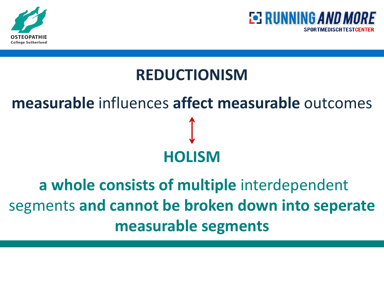



#### **REDUCTIONISM**

# **measurable** influences **affect measurable** outcomes **HOLISM**

## **a whole consists of multiple** interdependent segments **and cannot be broken down into seperate measurable segments**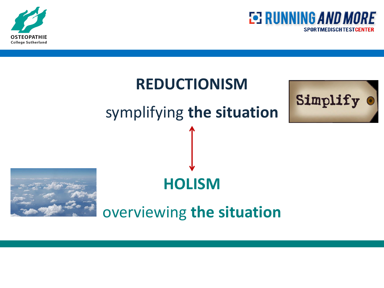



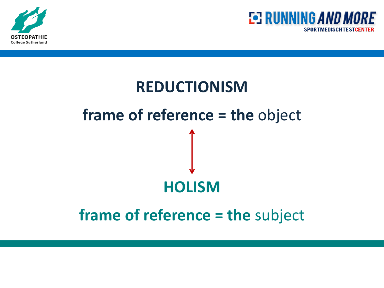



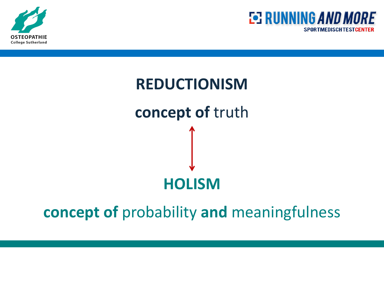



# **REDUCTIONISM concept of** truth **HOLISM**

**concept of** probability **and** meaningfulness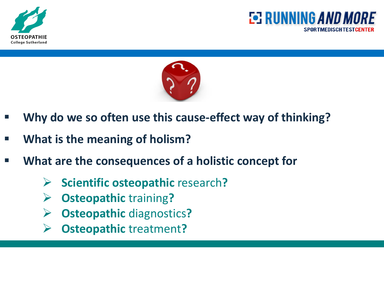





- **Why do we so often use this cause-effect way of thinking?**
- **What is the meaning of holism?**
- **What are the consequences of a holistic concept for**
	- **Scientific osteopathic** research**?**
	- **Osteopathic** training**?**
	- **Osteopathic** diagnostics**?**
	- **Osteopathic** treatment**?**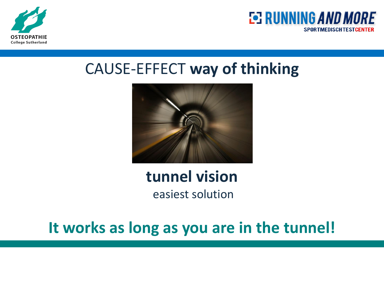



#### CAUSE-EFFECT **way of thinking**



## **tunnel vision**

easiest solution

#### **It works as long as you are in the tunnel!**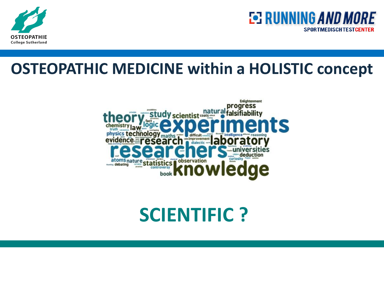



#### **OSTEOPATHIC MEDICINE within a HOLISTIC concept**



### **SCIENTIFIC ?**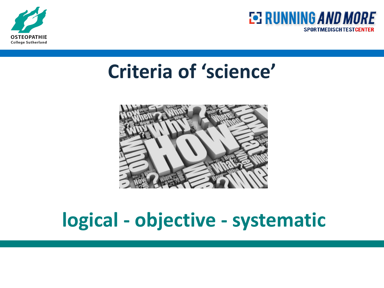



## **Criteria of 'science'**



## **logical - objective - systematic**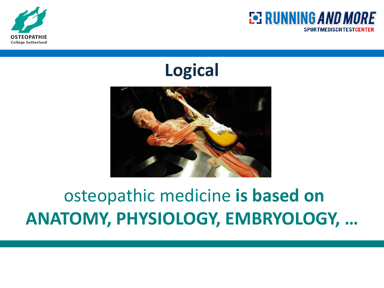



**Logical**



## osteopathic medicine **is based on ANATOMY, PHYSIOLOGY, EMBRYOLOGY, …**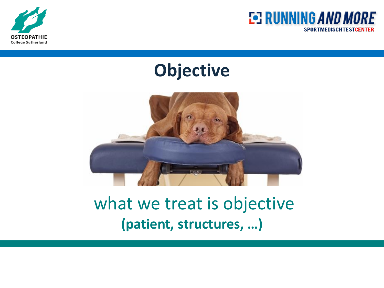



#### **Objective**



#### what we treat is objective **(patient, structures, …)**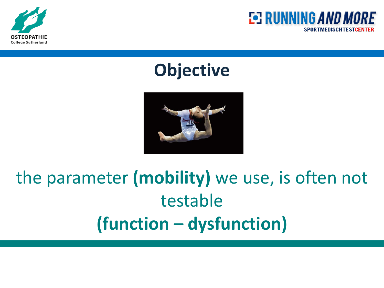



#### **Objective**



## the parameter **(mobility)** we use, is often not testable **(function – dysfunction)**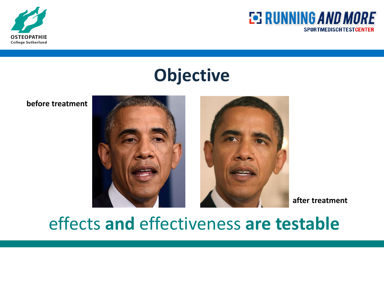



#### **Objective**

**before treatment**



**after treatment**

#### effects **and** effectiveness **are testable**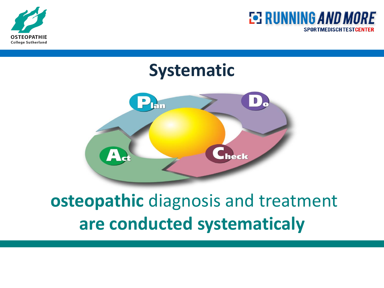





## **osteopathic** diagnosis and treatment **are conducted systematicaly**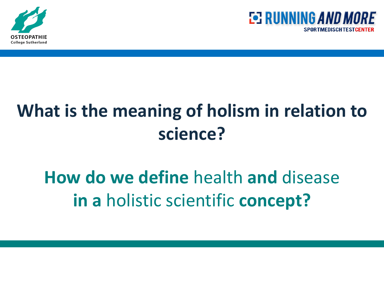



## **What is the meaning of holism in relation to science?**

## **How do we define** health **and** disease **in a** holistic scientific **concept?**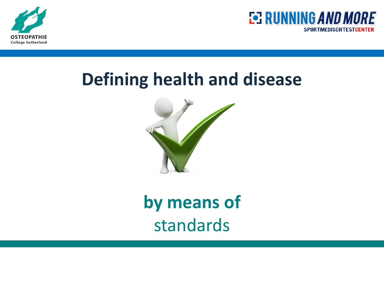



#### **Defining health and disease**



**by means of**  standards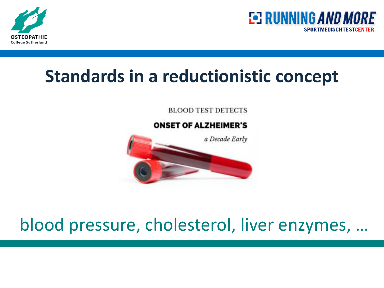



#### **Standards in a reductionistic concept**

**BLOOD TEST DETECTS** 



## blood pressure, cholesterol, liver enzymes, …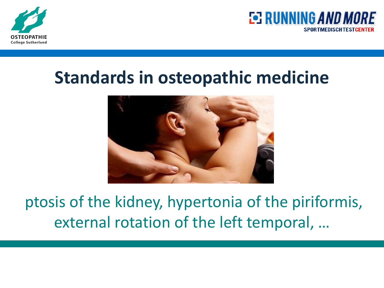



#### **Standards in osteopathic medicine**



ptosis of the kidney, hypertonia of the piriformis, external rotation of the left temporal, …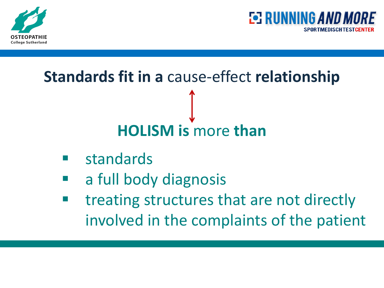



# **Standards fit in a** cause-effect **relationship HOLISM is** more **than**

- standards
- a full body diagnosis
- treating structures that are not directly involved in the complaints of the patient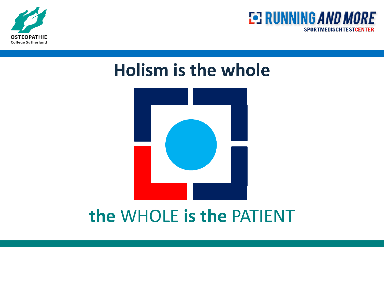



#### **Holism is the whole**



#### **the** WHOLE **is the** PATIENT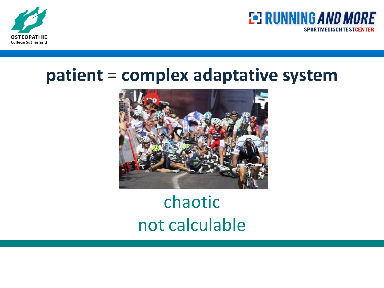



#### **patient = complex adaptative system**



## chaotic not calculable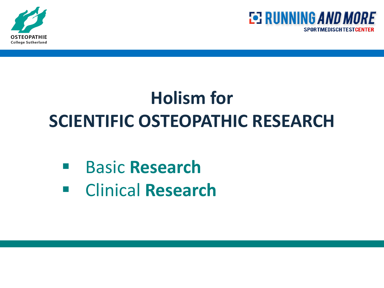



## **Holism for SCIENTIFIC OSTEOPATHIC RESEARCH**

#### Basic **Research**

Clinical **Research**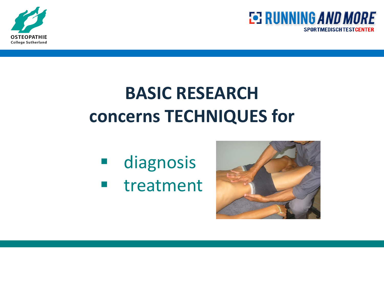



## **BASIC RESEARCH concerns TECHNIQUES for**

 diagnosis **u** treatment

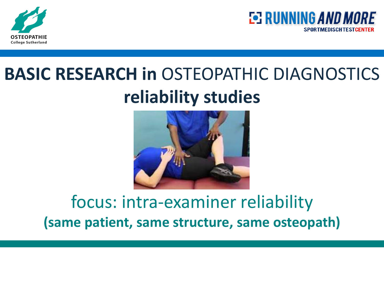



## **BASIC RESEARCH in** OSTEOPATHIC DIAGNOSTICS **reliability studies**



#### focus: intra-examiner reliability **(same patient, same structure, same osteopath)**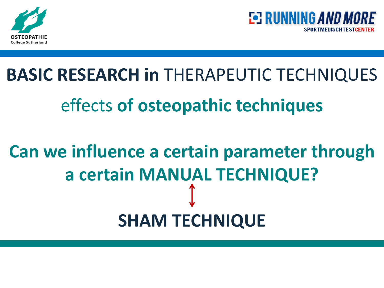



# **BASIC RESEARCH in** THERAPEUTIC TECHNIQUES effects **of osteopathic techniques**

# **Can we influence a certain parameter through a certain MANUAL TECHNIQUE? SHAM TECHNIQUE**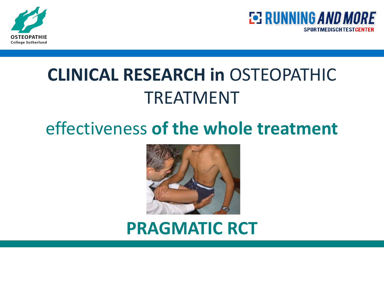



## **CLINICAL RESEARCH in** OSTEOPATHIC TREATMENT

### effectiveness **of the whole treatment**



#### **PRAGMATIC RCT**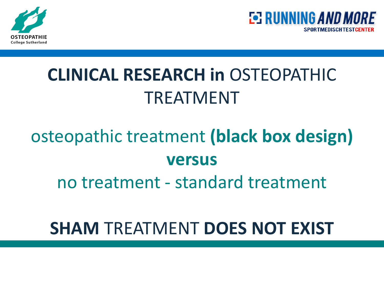



## **CLINICAL RESEARCH in** OSTEOPATHIC TREATMENT

## osteopathic treatment **(black box design) versus**

no treatment - standard treatment

#### **SHAM** TREATMENT **DOES NOT EXIST**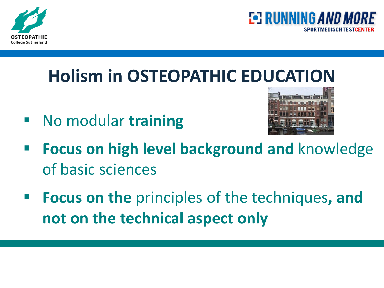



## **Holism in OSTEOPATHIC EDUCATION**

No modular **training**



- **Focus on high level background and** knowledge of basic sciences
- **Focus on the** principles of the techniques**, and not on the technical aspect only**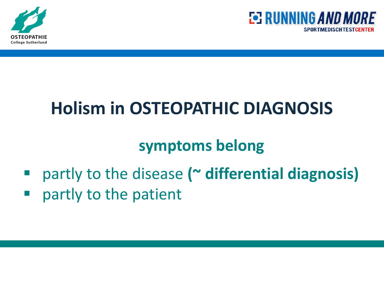



## **Holism in OSTEOPATHIC DIAGNOSIS**

#### **symptoms belong**

- partly to the disease **(~ differential diagnosis)**
- **P** partly to the patient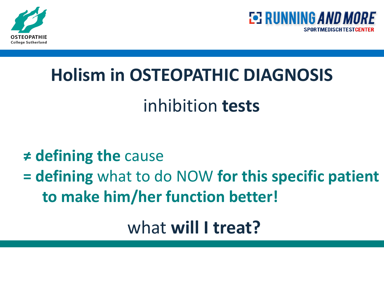



## **Holism in OSTEOPATHIC DIAGNOSIS**

## inhibition **tests**

#### **≠ defining the** cause

### **= defining** what to do NOW **for this specific patient to make him/her function better!**

what **will I treat?**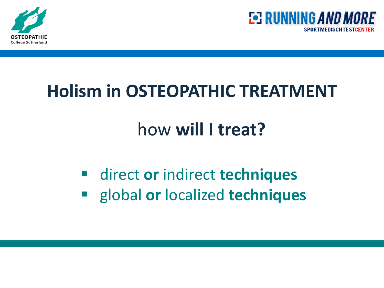



## **Holism in OSTEOPATHIC TREATMENT**

## how **will I treat?**

 direct **or** indirect **techniques** global **or** localized **techniques**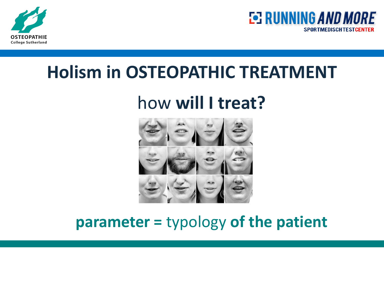



#### **Holism in OSTEOPATHIC TREATMENT**

## how **will I treat?**



#### **parameter =** typology **of the patient**